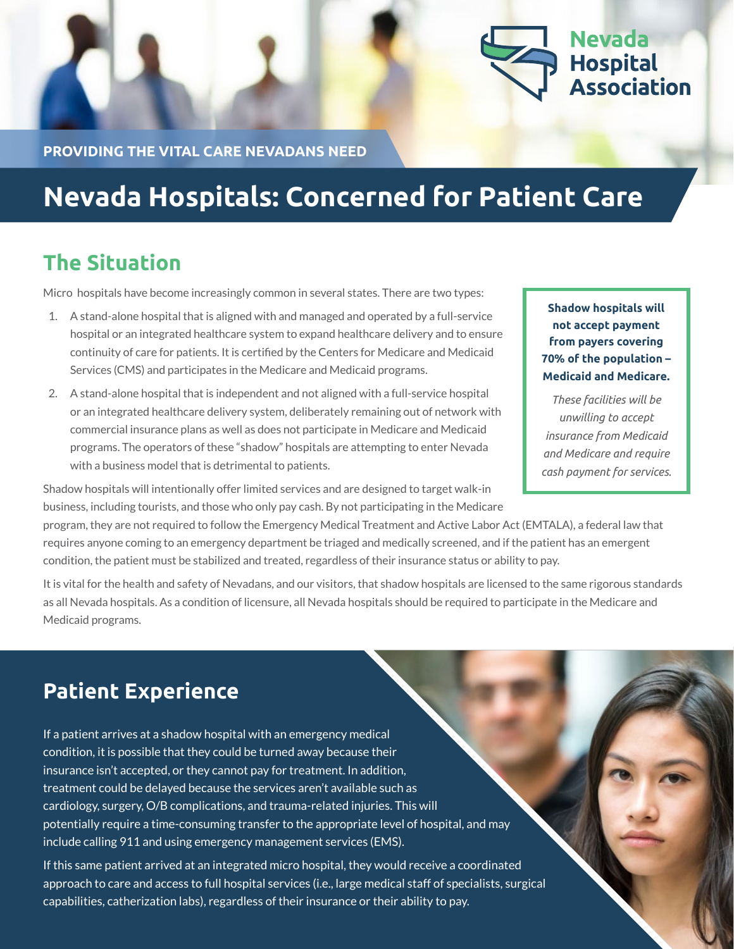

**PROVIDING THE VITAL CARE NEVADANS NEED**

# **Nevada Hospitals: Concerned for Patient Care**

### **The Situation**

Micro hospitals have become increasingly common in several states. There are two types:

- 1. A stand-alone hospital that is aligned with and managed and operated by a full-service hospital or an integrated healthcare system to expand healthcare delivery and to ensure continuity of care for patients. It is certified by the Centers for Medicare and Medicaid Services (CMS) and participates in the Medicare and Medicaid programs.
- 2. A stand-alone hospital that is independent and not aligned with a full-service hospital or an integrated healthcare delivery system, deliberately remaining out of network with commercial insurance plans as well as does not participate in Medicare and Medicaid programs. The operators of these "shadow" hospitals are attempting to enter Nevada with a business model that is detrimental to patients.

**Shadow hospitals will not accept payment from payers covering 70% of the population – Medicaid and Medicare.** 

*These facilities will be unwilling to accept insurance from Medicaid and Medicare and require cash payment for services.*

Shadow hospitals will intentionally offer limited services and are designed to target walk-in business, including tourists, and those who only pay cash. By not participating in the Medicare

program, they are not required to follow the Emergency Medical Treatment and Active Labor Act (EMTALA), a federal law that requires anyone coming to an emergency department be triaged and medically screened, and if the patient has an emergent condition, the patient must be stabilized and treated, regardless of their insurance status or ability to pay.

It is vital for the health and safety of Nevadans, and our visitors, that shadow hospitals are licensed to the same rigorous standards as all Nevada hospitals. As a condition of licensure, all Nevada hospitals should be required to participate in the Medicare and Medicaid programs.

## **Patient Experience**

If a patient arrives at a shadow hospital with an emergency medical condition, it is possible that they could be turned away because their insurance isn't accepted, or they cannot pay for treatment. In addition, treatment could be delayed because the services aren't available such as cardiology, surgery, O/B complications, and trauma-related injuries. This will potentially require a time-consuming transfer to the appropriate level of hospital, and may include calling 911 and using emergency management services (EMS).

If this same patient arrived at an integrated micro hospital, they would receive a coordinated approach to care and access to full hospital services (i.e., large medical staff of specialists, surgical capabilities, catherization labs), regardless of their insurance or their ability to pay.